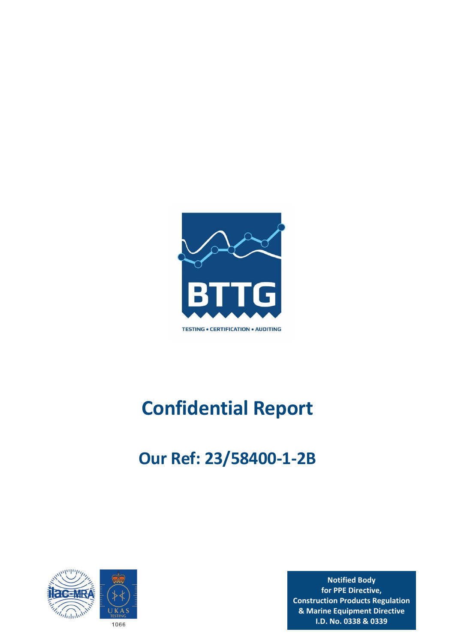

# **Confidential Report**

## **Our Ref: 23/58400‐1‐2B**



**Notified Body for PPE Directive, Construction Products Regulation & Marine Equipment Directive I.D. No. 0338 & 0339**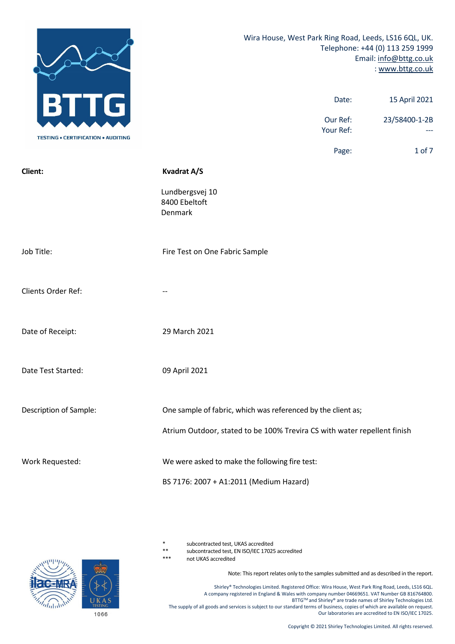|                                           | Wira House, West Park Ring Road, Leeds, LS16 6QL, UK.<br>Telephone: +44 (0) 113 259 1999<br>Email: info@bttg.co.uk<br>: www.bttg.co.uk |  |
|-------------------------------------------|----------------------------------------------------------------------------------------------------------------------------------------|--|
|                                           | 15 April 2021<br>Date:                                                                                                                 |  |
| <b>TESTING • CERTIFICATION • AUDITING</b> | Our Ref:<br>23/58400-1-2B<br>Your Ref:                                                                                                 |  |
|                                           | Page:<br>1 of 7                                                                                                                        |  |
| Client:                                   | <b>Kvadrat A/S</b>                                                                                                                     |  |
|                                           | Lundbergsvej 10<br>8400 Ebeltoft<br>Denmark                                                                                            |  |
| Job Title:                                | Fire Test on One Fabric Sample                                                                                                         |  |
| Clients Order Ref:                        |                                                                                                                                        |  |
| Date of Receipt:                          | 29 March 2021                                                                                                                          |  |
| Date Test Started:                        | 09 April 2021                                                                                                                          |  |
| Description of Sample:                    | One sample of fabric, which was referenced by the client as;                                                                           |  |
|                                           | Atrium Outdoor, stated to be 100% Trevira CS with water repellent finish                                                               |  |
| Work Requested:                           | We were asked to make the following fire test:                                                                                         |  |
|                                           | BS 7176: 2007 + A1:2011 (Medium Hazard)                                                                                                |  |

subcontracted test, UKAS accredited

\*\* subcontracted test, EN ISO/IEC 17025 accredited

not UKAS accredited

Note: This report relates only to the samples submitted and as described in the report.

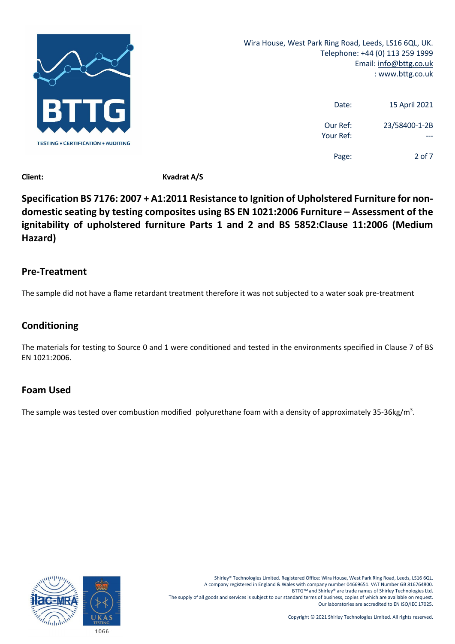

Wira House, West Park Ring Road, Leeds, LS16 6QL, UK. Telephone: +44 (0) 113 259 1999 Email: info@bttg.co.uk : www.bttg.co.uk

| 15 April 2021 | Date:                 |
|---------------|-----------------------|
| 23/58400-1-2B | Our Ref:<br>Your Ref: |
| 2 of 7        | Page:                 |

**Client: Kvadrat A/S**

**Specification BS 7176: 2007 + A1:2011 Resistance to Ignition of Upholstered Furniture for non‐ domestic seating by testing composites using BS EN 1021:2006 Furniture – Assessment of the ignitability of upholstered furniture Parts 1 and 2 and BS 5852:Clause 11:2006 (Medium Hazard)**

### **Pre‐Treatment**

The sample did not have a flame retardant treatment therefore it was not subjected to a water soak pre‐treatment

## **Conditioning**

The materials for testing to Source 0 and 1 were conditioned and tested in the environments specified in Clause 7 of BS EN 1021:2006.

## **Foam Used**

The sample was tested over combustion modified polyurethane foam with a density of approximately 35-36kg/m<sup>3</sup>.

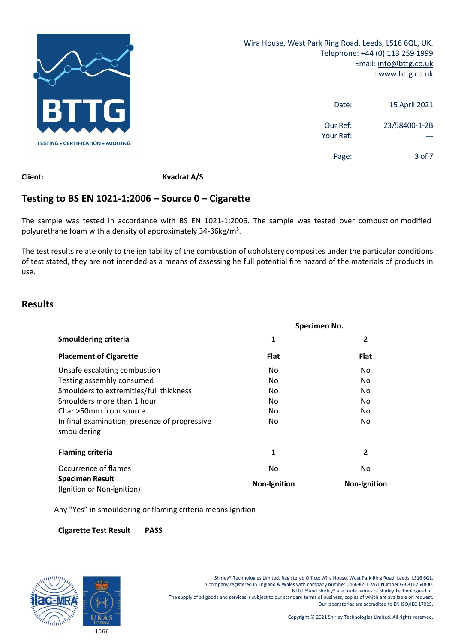

| 15 April 2021 | Date:                 |
|---------------|-----------------------|
| 23/58400-1-2B | Our Ref:<br>Your Ref: |
| $3$ of $7$    | Page:                 |

**Client: Kvadrat A/S**

## **Testing to BS EN 1021‐1:2006 – Source 0 – Cigarette**

The sample was tested in accordance with BS EN 1021-1:2006. The sample was tested over combustion modified polyurethane foam with a density of approximately 34-36kg/m<sup>3</sup>.

The test results relate only to the ignitability of the combustion of upholstery composites under the particular conditions of test stated, they are not intended as a means of assessing he full potential fire hazard of the materials of products in use.

## **Results**

|                                                              | Specimen No.        |                     |  |
|--------------------------------------------------------------|---------------------|---------------------|--|
| <b>Smouldering criteria</b>                                  | 1<br>$\overline{2}$ |                     |  |
| <b>Placement of Cigarette</b>                                | <b>Flat</b>         | <b>Flat</b>         |  |
| Unsafe escalating combustion                                 | No.                 | No.                 |  |
| Testing assembly consumed                                    | No.                 | No.                 |  |
| Smoulders to extremities/full thickness                      | No.                 | No.                 |  |
| Smoulders more than 1 hour                                   | No.                 | No                  |  |
| Char >50mm from source                                       | No.                 | No.                 |  |
| In final examination, presence of progressive<br>smouldering | No.                 | No.                 |  |
| <b>Flaming criteria</b>                                      | 1                   | 2                   |  |
| Occurrence of flames                                         | No                  | No.                 |  |
| <b>Specimen Result</b><br>(Ignition or Non-ignition)         | <b>Non-Ignition</b> | <b>Non-Ignition</b> |  |

Any "Yes" in smouldering or flaming criteria means Ignition

**Cigarette Test Result PASS**

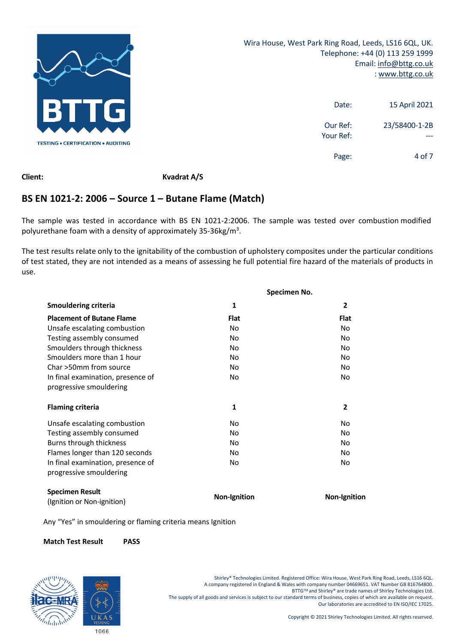

| 15 April 2021 | Date:                 |
|---------------|-----------------------|
| 23/58400-1-2B | Our Ref:<br>Your Ref: |
| 4 of 7        | Page:                 |

**Client: Kvadrat A/S**

## **BS EN 1021‐2: 2006 – Source 1 – Butane Flame (Match)**

The sample was tested in accordance with BS EN 1021-2:2006. The sample was tested over combustion modified polyurethane foam with a density of approximately 35-36kg/m<sup>3</sup>.

The test results relate only to the ignitability of the combustion of upholstery composites under the particular conditions of test stated, they are not intended as a means of assessing he full potential fire hazard of the materials of products in use.

|                                                      |                     | Specimen No.        |
|------------------------------------------------------|---------------------|---------------------|
| <b>Smouldering criteria</b>                          | 1                   | $\overline{2}$      |
| <b>Placement of Butane Flame</b>                     | <b>Flat</b>         | <b>Flat</b>         |
| Unsafe escalating combustion                         | <b>No</b>           | <b>No</b>           |
| Testing assembly consumed                            | No.                 | No                  |
| Smoulders through thickness                          | No                  | No                  |
| Smoulders more than 1 hour                           | No.                 | No                  |
| Char >50mm from source                               | No                  | No                  |
| In final examination, presence of                    | No                  | <b>No</b>           |
| progressive smouldering                              |                     |                     |
| <b>Flaming criteria</b>                              | 1                   | $\overline{2}$      |
| Unsafe escalating combustion                         | No                  | No                  |
| Testing assembly consumed                            | No                  | No                  |
| Burns through thickness                              | No.                 | No                  |
| Flames longer than 120 seconds                       | No                  | No                  |
| In final examination, presence of                    | No.                 | No                  |
| progressive smouldering                              |                     |                     |
| <b>Specimen Result</b><br>(Ignition or Non-ignition) | <b>Non-Ignition</b> | <b>Non-Ignition</b> |

Any "Yes" in smouldering or flaming criteria means Ignition

#### **Match Test Result PASS**

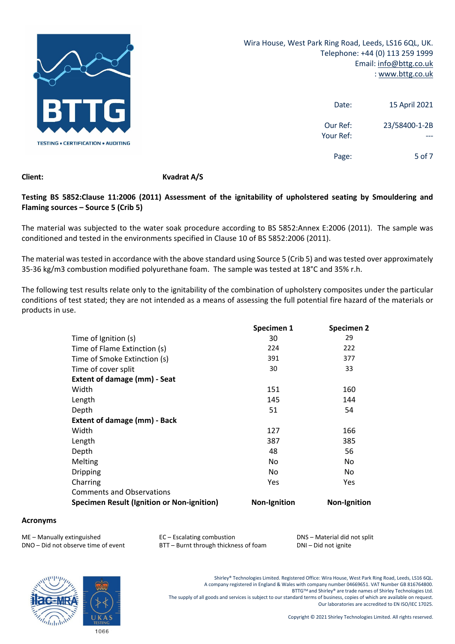

Wira House, West Park Ring Road, Leeds, LS16 6QL, UK. Telephone: +44 (0) 113 259 1999 Email: info@bttg.co.uk : www.bttg.co.uk

| 15 April 2021 | Date:                 |
|---------------|-----------------------|
| 23/58400-1-2B | Our Ref:<br>Your Ref: |
| 5 of $7$      | Page:                 |

#### **Client: Kvadrat A/S**

#### **Testing BS 5852:Clause 11:2006 (2011) Assessment of the ignitability of upholstered seating by Smouldering and Flaming sources – Source 5 (Crib 5)**

The material was subjected to the water soak procedure according to BS 5852:Annex E:2006 (2011). The sample was conditioned and tested in the environments specified in Clause 10 of BS 5852:2006 (2011).

The material wastested in accordance with the above standard using Source 5 (Crib 5) and was tested over approximately 35-36 kg/m3 combustion modified polyurethane foam. The sample was tested at 18°C and 35% r.h.

The following test results relate only to the ignitability of the combination of upholstery composites under the particular conditions of test stated; they are not intended as a means of assessing the full potential fire hazard of the materials or products in use.

|                                            | Specimen 1          | Specimen 2          |
|--------------------------------------------|---------------------|---------------------|
| Time of Ignition (s)                       | 30                  | 29                  |
| Time of Flame Extinction (s)               | 224                 | 222                 |
| Time of Smoke Extinction (s)               | 391                 | 377                 |
| Time of cover split                        | 30                  | 33                  |
| Extent of damage (mm) - Seat               |                     |                     |
| Width                                      | 151                 | 160                 |
| Length                                     | 145                 | 144                 |
| Depth                                      | 51                  | 54                  |
| <b>Extent of damage (mm) - Back</b>        |                     |                     |
| Width                                      | 127                 | 166                 |
| Length                                     | 387                 | 385                 |
| Depth                                      | 48                  | 56                  |
| Melting                                    | No                  | No                  |
| <b>Dripping</b>                            | No                  | No                  |
| Charring                                   | Yes                 | Yes                 |
| <b>Comments and Observations</b>           |                     |                     |
| Specimen Result (Ignition or Non-ignition) | <b>Non-Ignition</b> | <b>Non-Ignition</b> |

#### **Acronyms**

ME – Manually extinguished **EXEC** – Escalating combustion *EC* – Material did not split

DNO – Did not observe time of event BTT – Burnt through thickness of foam DNI – Did not ignite

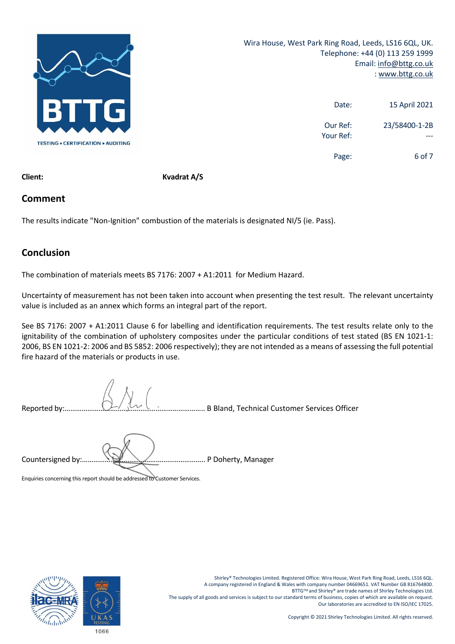

| 15 April 2021 | Date:                 |
|---------------|-----------------------|
| 23/58400-1-2B | Our Ref:<br>Your Ref: |
| 6 of 7        | Page:                 |

**Client: Kvadrat A/S**

### **Comment**

The results indicate "Non-Ignition" combustion of the materials is designated NI/5 (ie. Pass).

## **Conclusion**

The combination of materials meets BS 7176: 2007 + A1:2011 for Medium Hazard.

Uncertainty of measurement has not been taken into account when presenting the test result. The relevant uncertainty value is included as an annex which forms an integral part of the report.

See BS 7176: 2007 + A1:2011 Clause 6 for labelling and identification requirements. The test results relate only to the ignitability of the combination of upholstery composites under the particular conditions of test stated (BS EN 1021-1: 2006, BS EN 1021‐2: 2006 and BS 5852: 2006 respectively); they are not intended as a means of assessing the full potential fire hazard of the materials or products in use.

Reported by:……………………………………………………………….. B Bland, Technical Customer Services Officer

Countersigned by:……………………………………………………….. P Doherty, Manager

Enquiries concerning this report should be addressed to Customer Services.